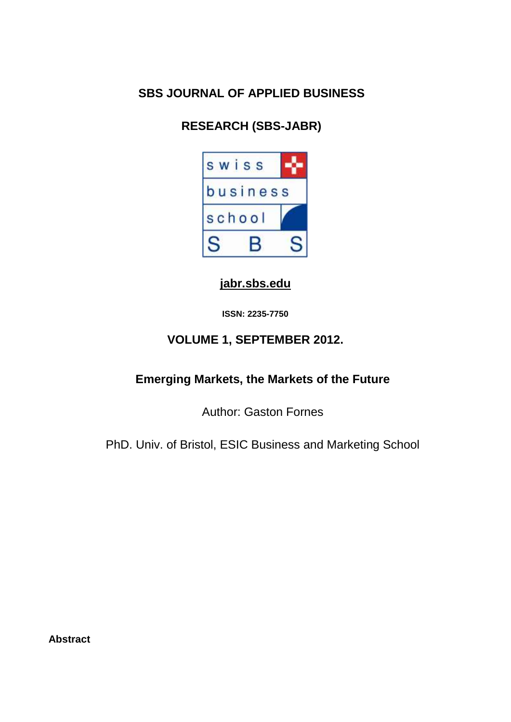# **SBS JOURNAL OF APPLIED BUSINESS**

# **RESEARCH (SBS-JABR)**



### **[jabr.sbs.edu](http://www.jabr.sbs.edu/)**

**ISSN: 2235-7750**

## **VOLUME 1, SEPTEMBER 2012.**

### **Emerging Markets, the Markets of the Future**

Author: Gaston Fornes

PhD. Univ. of Bristol, ESIC Business and Marketing School

**Abstract**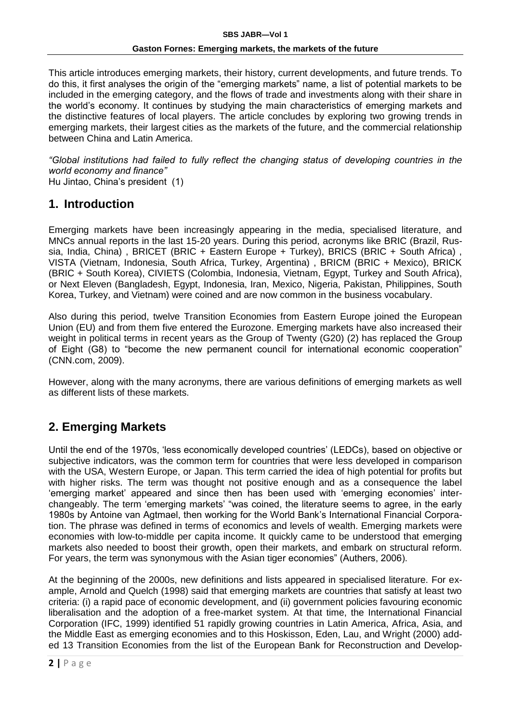This article introduces emerging markets, their history, current developments, and future trends. To do this, it first analyses the origin of the "emerging markets" name, a list of potential markets to be included in the emerging category, and the flows of trade and investments along with their share in the world's economy. It continues by studying the main characteristics of emerging markets and the distinctive features of local players. The article concludes by exploring two growing trends in emerging markets, their largest cities as the markets of the future, and the commercial relationship between China and Latin America.

*"Global institutions had failed to fully reflect the changing status of developing countries in the world economy and finance"*  Hu Jintao, China's president (1)

### **1. Introduction**

Emerging markets have been increasingly appearing in the media, specialised literature, and MNCs annual reports in the last 15-20 years. During this period, acronyms like BRIC (Brazil, Russia, India, China) , BRICET (BRIC + Eastern Europe + Turkey), BRICS (BRIC + South Africa) , VISTA (Vietnam, Indonesia, South Africa, Turkey, Argentina) , BRICM (BRIC + Mexico), BRICK (BRIC + South Korea), CIVIETS (Colombia, Indonesia, Vietnam, Egypt, Turkey and South Africa), or Next Eleven (Bangladesh, Egypt, Indonesia, Iran, Mexico, Nigeria, Pakistan, Philippines, South Korea, Turkey, and Vietnam) were coined and are now common in the business vocabulary.

Also during this period, twelve Transition Economies from Eastern Europe joined the European Union (EU) and from them five entered the Eurozone. Emerging markets have also increased their weight in political terms in recent years as the Group of Twenty (G20) (2) has replaced the Group of Eight (G8) to "become the new permanent council for international economic cooperation" (CNN.com, 2009).

However, along with the many acronyms, there are various definitions of emerging markets as well as different lists of these markets.

### **2. Emerging Markets**

Until the end of the 1970s, 'less economically developed countries' (LEDCs), based on objective or subjective indicators, was the common term for countries that were less developed in comparison with the USA, Western Europe, or Japan. This term carried the idea of high potential for profits but with higher risks. The term was thought not positive enough and as a consequence the label 'emerging market' appeared and since then has been used with 'emerging economies' interchangeably. The term 'emerging markets' "was coined, the literature seems to agree, in the early 1980s by Antoine van Agtmael, then working for the World Bank's International Financial Corporation. The phrase was defined in terms of economics and levels of wealth. Emerging markets were economies with low-to-middle per capita income. It quickly came to be understood that emerging markets also needed to boost their growth, open their markets, and embark on structural reform. For years, the term was synonymous with the Asian tiger economies" (Authers, 2006).

At the beginning of the 2000s, new definitions and lists appeared in specialised literature. For example, Arnold and Quelch (1998) said that emerging markets are countries that satisfy at least two criteria: (i) a rapid pace of economic development, and (ii) government policies favouring economic liberalisation and the adoption of a free-market system. At that time, the International Financial Corporation (IFC, 1999) identified 51 rapidly growing countries in Latin America, Africa, Asia, and the Middle East as emerging economies and to this Hoskisson, Eden, Lau, and Wright (2000) added 13 Transition Economies from the list of the European Bank for Reconstruction and Develop-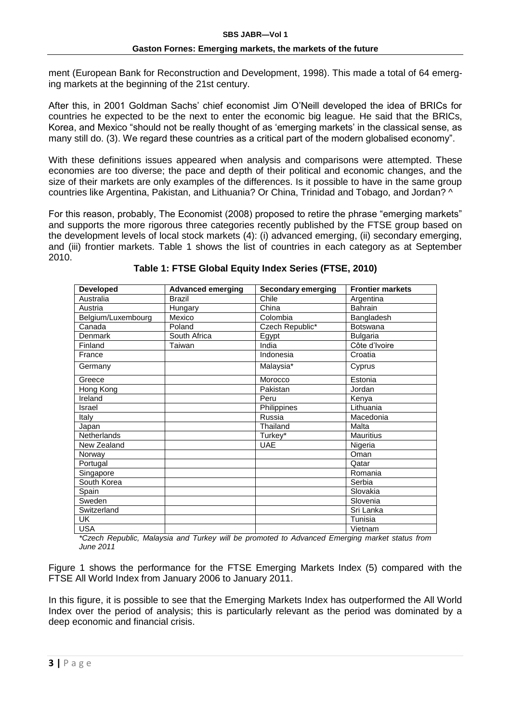ment (European Bank for Reconstruction and Development, 1998). This made a total of 64 emerging markets at the beginning of the 21st century.

After this, in 2001 Goldman Sachs' chief economist Jim O'Neill developed the idea of BRICs for countries he expected to be the next to enter the economic big league. He said that the BRICs, Korea, and Mexico "should not be really thought of as 'emerging markets' in the classical sense, as many still do. (3). We regard these countries as a critical part of the modern globalised economy".

With these definitions issues appeared when analysis and comparisons were attempted. These economies are too diverse; the pace and depth of their political and economic changes, and the size of their markets are only examples of the differences. Is it possible to have in the same group countries like Argentina, Pakistan, and Lithuania? Or China, Trinidad and Tobago, and Jordan? ^

For this reason, probably, The Economist (2008) proposed to retire the phrase "emerging markets" and supports the more rigorous three categories recently published by the FTSE group based on the development levels of local stock markets (4): (i) advanced emerging, (ii) secondary emerging, and (iii) frontier markets. Table 1 shows the list of countries in each category as at September 2010.

| <b>Developed</b>   | <b>Advanced emerging</b> | <b>Secondary emerging</b> | <b>Frontier markets</b> |
|--------------------|--------------------------|---------------------------|-------------------------|
| Australia          | <b>Brazil</b>            | Chile                     | Argentina               |
| Austria            | Hungary                  | China                     | Bahrain                 |
| Belgium/Luxembourg | Mexico                   | Colombia                  | Bangladesh              |
| Canada             | Poland                   | Czech Republic*           | <b>Botswana</b>         |
| Denmark            | South Africa             | Egypt                     | <b>Bulgaria</b>         |
| Finland            | Taiwan                   | India                     | Côte d'Ivoire           |
| France             |                          | Indonesia                 | Croatia                 |
| Germany            |                          | Malaysia*                 | Cyprus                  |
| Greece             |                          | Morocco                   | Estonia                 |
| Hong Kong          |                          | Pakistan                  | Jordan                  |
| Ireland            |                          | Peru                      | Kenya                   |
| Israel             |                          | Philippines               | Lithuania               |
| Italy              |                          | Russia                    | Macedonia               |
| Japan              |                          | Thailand                  | Malta                   |
| Netherlands        |                          | Turkey*                   | <b>Mauritius</b>        |
| New Zealand        |                          | <b>UAE</b>                | Nigeria                 |
| Norway             |                          |                           | Oman                    |
| Portugal           |                          |                           | Qatar                   |
| Singapore          |                          |                           | Romania                 |
| South Korea        |                          |                           | Serbia                  |
| Spain              |                          |                           | Slovakia                |
| Sweden             |                          |                           | Slovenia                |
| Switzerland        |                          |                           | Sri Lanka               |
| UK.                |                          |                           | Tunisia                 |
| <b>USA</b>         |                          |                           | Vietnam                 |

**Table 1: FTSE Global Equity Index Series (FTSE, 2010)**

*\*Czech Republic, Malaysia and Turkey will be promoted to Advanced Emerging market status from June 2011*

Figure 1 shows the performance for the FTSE Emerging Markets Index (5) compared with the FTSE All World Index from January 2006 to January 2011.

In this figure, it is possible to see that the Emerging Markets Index has outperformed the All World Index over the period of analysis; this is particularly relevant as the period was dominated by a deep economic and financial crisis.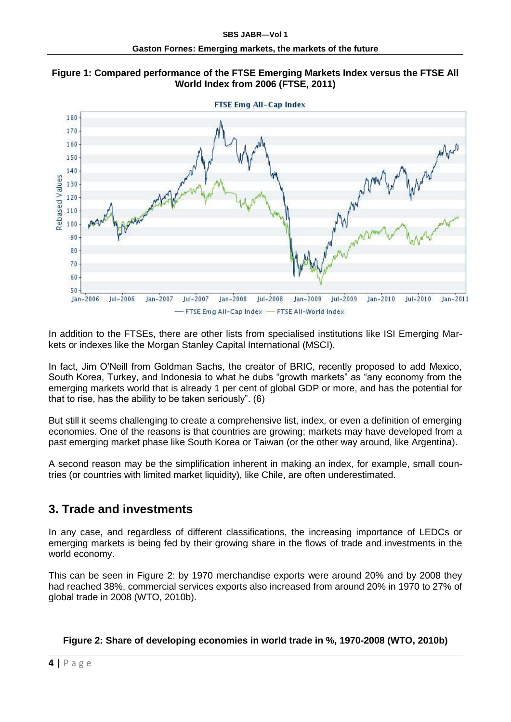



In addition to the FTSEs, there are other lists from specialised institutions like ISI Emerging Markets or indexes like the Morgan Stanley Capital International (MSCI).

In fact, Jim O'Neill from Goldman Sachs, the creator of BRIC, recently proposed to add Mexico, South Korea, Turkey, and Indonesia to what he dubs "growth markets" as "any economy from the emerging markets world that is already 1 per cent of global GDP or more, and has the potential for that to rise, has the ability to be taken seriously". (6)

But still it seems challenging to create a comprehensive list, index, or even a definition of emerging economies. One of the reasons is that countries are growing; markets may have developed from a past emerging market phase like South Korea or Taiwan (or the other way around, like Argentina).

A second reason may be the simplification inherent in making an index, for example, small countries (or countries with limited market liquidity), like Chile, are often underestimated.

### **3. Trade and investments**

In any case, and regardless of different classifications, the increasing importance of LEDCs or emerging markets is being fed by their growing share in the flows of trade and investments in the world economy.

This can be seen in Figure 2: by 1970 merchandise exports were around 20% and by 2008 they had reached 38%, commercial services exports also increased from around 20% in 1970 to 27% of global trade in 2008 (WTO, 2010b).

### **Figure 2: Share of developing economies in world trade in %, 1970-2008 (WTO, 2010b)**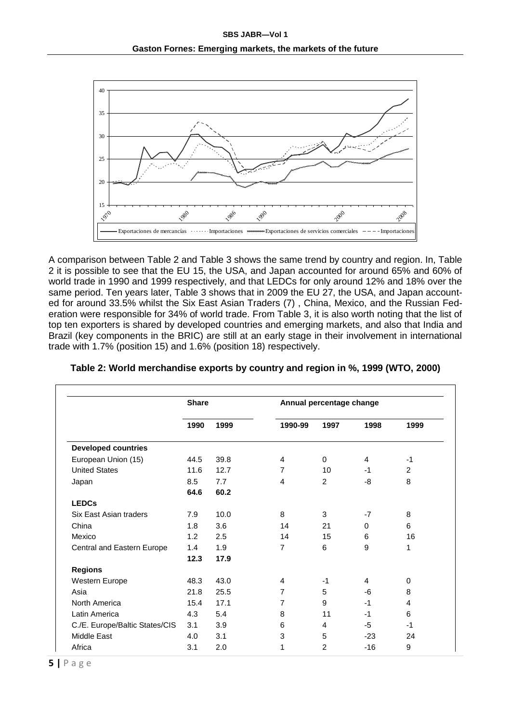

A comparison between Table 2 and Table 3 shows the same trend by country and region. In, Table 2 it is possible to see that the EU 15, the USA, and Japan accounted for around 65% and 60% of world trade in 1990 and 1999 respectively, and that LEDCs for only around 12% and 18% over the same period. Ten years later, Table 3 shows that in 2009 the EU 27, the USA, and Japan accounted for around 33.5% whilst the Six East Asian Traders (7) , China, Mexico, and the Russian Federation were responsible for 34% of world trade. From Table 3, it is also worth noting that the list of top ten exporters is shared by developed countries and emerging markets, and also that India and Brazil (key components in the BRIC) are still at an early stage in their involvement in international trade with 1.7% (position 15) and 1.6% (position 18) respectively.

|                                | <b>Share</b> |      |                | Annual percentage change |       |                |
|--------------------------------|--------------|------|----------------|--------------------------|-------|----------------|
|                                | 1990         | 1999 | 1990-99        | 1997                     | 1998  | 1999           |
| <b>Developed countries</b>     |              |      |                |                          |       |                |
| European Union (15)            | 44.5         | 39.8 | 4              | 0                        | 4     | $-1$           |
| <b>United States</b>           | 11.6         | 12.7 | 7              | 10                       | $-1$  | $\overline{2}$ |
| Japan                          | 8.5          | 7.7  | 4              | 2                        | -8    | 8              |
|                                | 64.6         | 60.2 |                |                          |       |                |
| <b>LEDCs</b>                   |              |      |                |                          |       |                |
| Six East Asian traders         | 7.9          | 10.0 | 8              | 3                        | $-7$  | 8              |
| China                          | 1.8          | 3.6  | 14             | 21                       | 0     | 6              |
| Mexico                         | 1.2          | 2.5  | 14             | 15                       | 6     | 16             |
| Central and Eastern Europe     | 1.4          | 1.9  | $\overline{7}$ | 6                        | 9     | 1              |
|                                | 12.3         | 17.9 |                |                          |       |                |
| <b>Regions</b>                 |              |      |                |                          |       |                |
| Western Europe                 | 48.3         | 43.0 | 4              | $-1$                     | 4     | 0              |
| Asia                           | 21.8         | 25.5 | 7              | 5                        | -6    | 8              |
| North America                  | 15.4         | 17.1 | $\overline{7}$ | 9                        | $-1$  | 4              |
| Latin America                  | 4.3          | 5.4  | 8              | 11                       | -1    | 6              |
| C./E. Europe/Baltic States/CIS | 3.1          | 3.9  | 6              | 4                        | -5    | $-1$           |
| Middle East                    | 4.0          | 3.1  | 3              | 5                        | $-23$ | 24             |
| Africa                         | 3.1          | 2.0  | 1              | $\overline{2}$           | $-16$ | 9              |

**Table 2: World merchandise exports by country and region in %, 1999 (WTO, 2000)**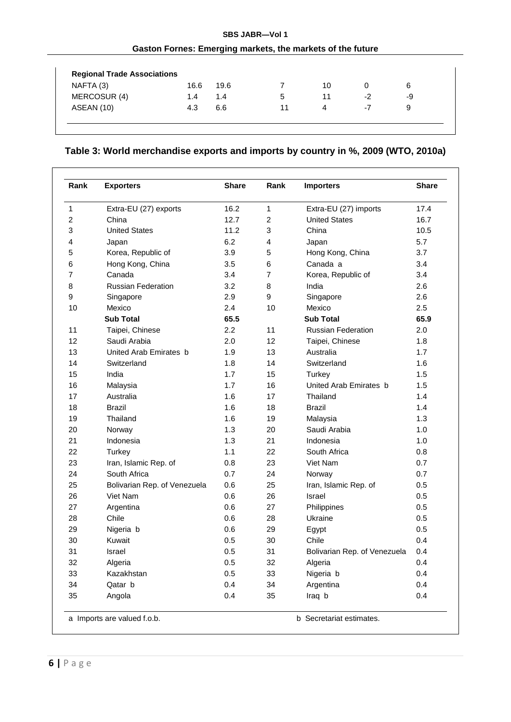### **SBS JABR—Vol 1 Gaston Fornes: Emerging markets, the markets of the future**

| NAFTA (3)    | 16.6 | 19.6 |    | 10 |      | 6  |
|--------------|------|------|----|----|------|----|
| MERCOSUR (4) | 1.4  | 1.4  | 5  | 11 | $-2$ | -9 |
| ASEAN (10)   | 4.3  | 6.6  | 11 | 4  | -7   | 9  |

### **Table 3: World merchandise exports and imports by country in %, 2009 (WTO, 2010a)**

| Rank                    | <b>Exporters</b>             | <b>Share</b> | Rank                    | <b>Importers</b>             | <b>Share</b> |
|-------------------------|------------------------------|--------------|-------------------------|------------------------------|--------------|
| 1                       | Extra-EU (27) exports        | 16.2         | $\mathbf{1}$            | Extra-EU (27) imports        | 17.4         |
| $\overline{\mathbf{c}}$ | China                        | 12.7         | $\overline{\mathbf{c}}$ | <b>United States</b>         | 16.7         |
| 3                       | <b>United States</b>         | 11.2         | 3                       | China                        | 10.5         |
| 4                       | Japan                        | 6.2          | 4                       | Japan                        | 5.7          |
| 5                       | Korea, Republic of           | 3.9          | 5                       | Hong Kong, China             | 3.7          |
| 6                       | Hong Kong, China             | 3.5          | 6                       | Canada a                     | 3.4          |
| $\overline{7}$          | Canada                       | 3.4          | $\overline{7}$          | Korea, Republic of           | 3.4          |
| 8                       | <b>Russian Federation</b>    | 3.2          | 8                       | India                        | 2.6          |
| 9                       | Singapore                    | 2.9          | 9                       | Singapore                    | 2.6          |
| 10                      | Mexico                       | 2.4          | 10                      | Mexico                       | 2.5          |
|                         | <b>Sub Total</b>             | 65.5         |                         | <b>Sub Total</b>             | 65.9         |
| 11                      | Taipei, Chinese              | 2.2          | 11                      | <b>Russian Federation</b>    | 2.0          |
| 12                      | Saudi Arabia                 | 2.0          | 12                      | Taipei, Chinese              | 1.8          |
| 13                      | United Arab Emirates b       | 1.9          | 13                      | Australia                    | 1.7          |
| 14                      | Switzerland                  | 1.8          | 14                      | Switzerland                  | 1.6          |
| 15                      | India                        | 1.7          | 15                      | Turkey                       | 1.5          |
| 16                      | Malaysia                     | 1.7          | 16                      | United Arab Emirates b       | 1.5          |
| 17                      | Australia                    | 1.6          | 17                      | Thailand                     | 1.4          |
| 18                      | <b>Brazil</b>                | 1.6          | 18                      | <b>Brazil</b>                | 1.4          |
| 19                      | Thailand                     | 1.6          | 19                      | Malaysia                     | 1.3          |
| 20                      | Norway                       | 1.3          | 20                      | Saudi Arabia                 | 1.0          |
| 21                      | Indonesia                    | 1.3          | 21                      | Indonesia                    | 1.0          |
| 22                      | Turkey                       | 1.1          | 22                      | South Africa                 | 0.8          |
| 23                      | Iran, Islamic Rep. of        | 0.8          | 23                      | Viet Nam                     | 0.7          |
| 24                      | South Africa                 | 0.7          | 24                      | Norway                       | 0.7          |
| 25                      | Bolivarian Rep. of Venezuela | 0.6          | 25                      | Iran, Islamic Rep. of        | 0.5          |
| 26                      | Viet Nam                     | 0.6          | 26                      | Israel                       | 0.5          |
| 27                      | Argentina                    | 0.6          | 27                      | Philippines                  | 0.5          |
| 28                      | Chile                        | 0.6          | 28                      | Ukraine                      | 0.5          |
| 29                      | Nigeria b                    | 0.6          | 29                      | Egypt                        | 0.5          |
| 30                      | Kuwait                       | 0.5          | 30                      | Chile                        | 0.4          |
| 31                      | Israel                       | 0.5          | 31                      | Bolivarian Rep. of Venezuela | 0.4          |
| 32                      | Algeria                      | $0.5\,$      | 32                      | Algeria                      | 0.4          |
| 33                      | Kazakhstan                   | $0.5\,$      | 33                      | Nigeria b                    | 0.4          |
| 34                      | Qatar b                      | 0.4          | 34                      | Argentina                    | 0.4          |
| 35                      | Angola                       | 0.4          | 35                      | Iraq b                       | 0.4          |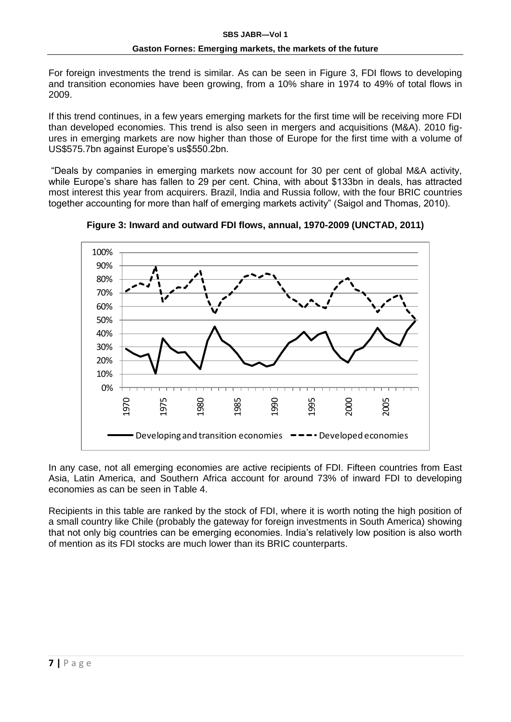For foreign investments the trend is similar. As can be seen in Figure 3, FDI flows to developing and transition economies have been growing, from a 10% share in 1974 to 49% of total flows in 2009.

If this trend continues, in a few years emerging markets for the first time will be receiving more FDI than developed economies. This trend is also seen in mergers and acquisitions (M&A). 2010 figures in emerging markets are now higher than those of Europe for the first time with a volume of US\$575.7bn against Europe's us\$550.2bn.

"Deals by companies in emerging markets now account for 30 per cent of global M&A activity, while Europe's share has fallen to 29 per cent. China, with about \$133bn in deals, has attracted most interest this year from acquirers. Brazil, India and Russia follow, with the four BRIC countries together accounting for more than half of emerging markets activity" (Saigol and Thomas, 2010).



**Figure 3: Inward and outward FDI flows, annual, 1970-2009 (UNCTAD, 2011)**

In any case, not all emerging economies are active recipients of FDI. Fifteen countries from East Asia, Latin America, and Southern Africa account for around 73% of inward FDI to developing economies as can be seen in Table 4.

Recipients in this table are ranked by the stock of FDI, where it is worth noting the high position of a small country like Chile (probably the gateway for foreign investments in South America) showing that not only big countries can be emerging economies. India's relatively low position is also worth of mention as its FDI stocks are much lower than its BRIC counterparts.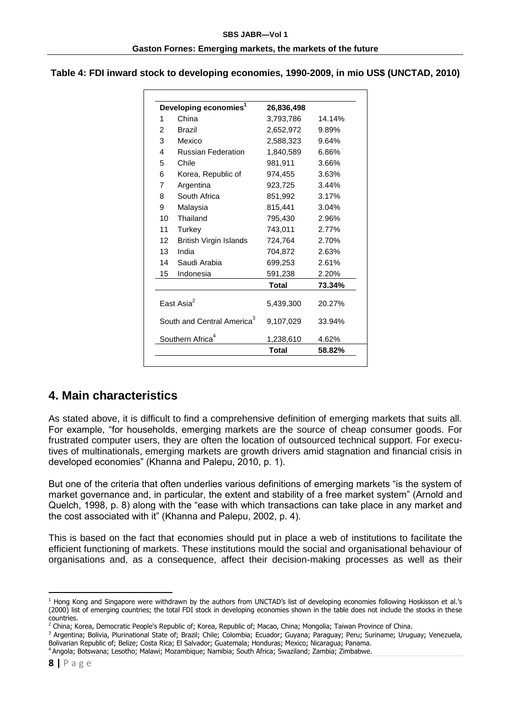#### **Table 4: FDI inward stock to developing economies, 1990-2009, in mio US\$ (UNCTAD, 2010)**

|                | Developing economies <sup>1</sup>      | 26,836,498 |        |
|----------------|----------------------------------------|------------|--------|
| 1              | China                                  | 3,793,786  | 14.14% |
| 2              | <b>Brazil</b>                          | 2,652,972  | 9.89%  |
| 3              | Mexico                                 | 2,588,323  | 9.64%  |
| 4              | <b>Russian Federation</b>              | 1,840,589  | 6.86%  |
| 5              | Chile                                  | 981,911    | 3.66%  |
| 6              | Korea, Republic of                     | 974,455    | 3.63%  |
| $\overline{7}$ | Argentina                              | 923,725    | 3.44%  |
| 8              | South Africa                           | 851,992    | 3.17%  |
| 9              | Malaysia                               | 815,441    | 3.04%  |
| 10             | Thailand                               | 795,430    | 2.96%  |
| 11             | Turkey                                 | 743,011    | 2.77%  |
| 12             | <b>British Virgin Islands</b>          | 724,764    | 2.70%  |
| 13             | India                                  | 704,872    | 2.63%  |
| 14             | Saudi Arabia                           | 699,253    | 2.61%  |
| 15             | Indonesia                              | 591,238    | 2.20%  |
|                |                                        | Total      | 73.34% |
|                | Fast Asia <sup>2</sup>                 | 5,439,300  | 20.27% |
|                | South and Central America <sup>3</sup> | 9,107,029  | 33.94% |
|                | Southern Africa <sup>4</sup>           | 1,238,610  | 4.62%  |
|                |                                        | Total      | 58.82% |

### **4. Main characteristics**

As stated above, it is difficult to find a comprehensive definition of emerging markets that suits all. For example, "for households, emerging markets are the source of cheap consumer goods. For frustrated computer users, they are often the location of outsourced technical support. For executives of multinationals, emerging markets are growth drivers amid stagnation and financial crisis in developed economies" (Khanna and Palepu, 2010, p. 1).

But one of the criteria that often underlies various definitions of emerging markets "is the system of market governance and, in particular, the extent and stability of a free market system" (Arnold and Quelch, 1998, p. 8) along with the "ease with which transactions can take place in any market and the cost associated with it" (Khanna and Palepu, 2002, p. 4).

This is based on the fact that economies should put in place a web of institutions to facilitate the efficient functioning of markets. These institutions mould the social and organisational behaviour of organisations and, as a consequence, affect their decision-making processes as well as their

1

<sup>1</sup> Hong Kong and Singapore were withdrawn by the authors from UNCTAD's list of developing economies following Hoskisson et al.'s (2000) list of emerging countries; the total FDI stock in developing economies shown in the table does not include the stocks in these countries.

<sup>&</sup>lt;sup>2</sup> China: Korea. Democratic People's Republic of; Korea, Republic of; Macao, China; Mongolia; Taiwan Province of China.

<sup>3</sup> Argentina; Bolivia, Plurinational State of; Brazil; Chile; Colombia; Ecuador; Guyana; Paraguay; Peru; Suriname; Uruguay; Venezuela, Bolivarian Republic of; Belize; Costa Rica; El Salvador; Guatemala; Honduras; Mexico; Nicaragua; Panama.

<sup>4</sup> Angola; Botswana; Lesotho; Malawi; Mozambique; Namibia; South Africa; Swaziland; Zambia; Zimbabwe.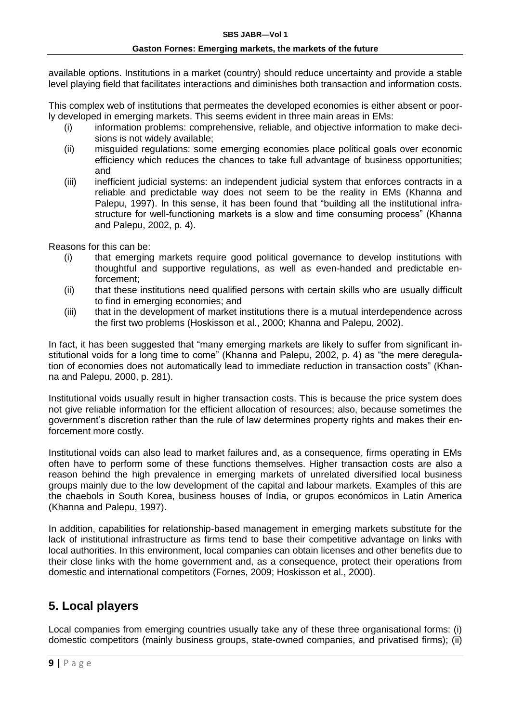available options. Institutions in a market (country) should reduce uncertainty and provide a stable level playing field that facilitates interactions and diminishes both transaction and information costs.

This complex web of institutions that permeates the developed economies is either absent or poorly developed in emerging markets. This seems evident in three main areas in EMs:

- (i) information problems: comprehensive, reliable, and objective information to make decisions is not widely available;
- (ii) misguided regulations: some emerging economies place political goals over economic efficiency which reduces the chances to take full advantage of business opportunities; and
- (iii) inefficient judicial systems: an independent judicial system that enforces contracts in a reliable and predictable way does not seem to be the reality in EMs (Khanna and Palepu, 1997). In this sense, it has been found that "building all the institutional infrastructure for well-functioning markets is a slow and time consuming process" (Khanna and Palepu, 2002, p. 4).

Reasons for this can be:

- (i) that emerging markets require good political governance to develop institutions with thoughtful and supportive regulations, as well as even-handed and predictable enforcement;
- (ii) that these institutions need qualified persons with certain skills who are usually difficult to find in emerging economies; and
- (iii) that in the development of market institutions there is a mutual interdependence across the first two problems (Hoskisson et al., 2000; Khanna and Palepu, 2002).

In fact, it has been suggested that "many emerging markets are likely to suffer from significant institutional voids for a long time to come" (Khanna and Palepu, 2002, p. 4) as "the mere deregulation of economies does not automatically lead to immediate reduction in transaction costs" (Khanna and Palepu, 2000, p. 281).

Institutional voids usually result in higher transaction costs. This is because the price system does not give reliable information for the efficient allocation of resources; also, because sometimes the government's discretion rather than the rule of law determines property rights and makes their enforcement more costly.

Institutional voids can also lead to market failures and, as a consequence, firms operating in EMs often have to perform some of these functions themselves. Higher transaction costs are also a reason behind the high prevalence in emerging markets of unrelated diversified local business groups mainly due to the low development of the capital and labour markets. Examples of this are the chaebols in South Korea, business houses of India, or grupos económicos in Latin America (Khanna and Palepu, 1997).

In addition, capabilities for relationship-based management in emerging markets substitute for the lack of institutional infrastructure as firms tend to base their competitive advantage on links with local authorities. In this environment, local companies can obtain licenses and other benefits due to their close links with the home government and, as a consequence, protect their operations from domestic and international competitors (Fornes, 2009; Hoskisson et al., 2000).

## **5. Local players**

Local companies from emerging countries usually take any of these three organisational forms: (i) domestic competitors (mainly business groups, state-owned companies, and privatised firms); (ii)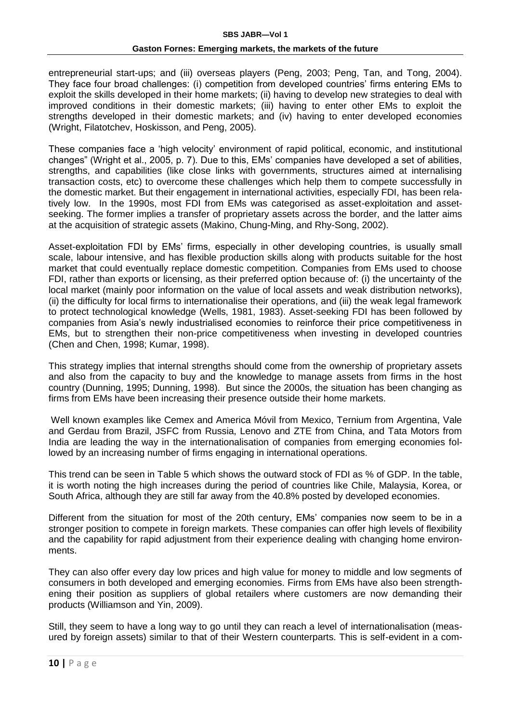entrepreneurial start-ups; and (iii) overseas players (Peng, 2003; Peng, Tan, and Tong, 2004). They face four broad challenges: (i) competition from developed countries' firms entering EMs to exploit the skills developed in their home markets; (ii) having to develop new strategies to deal with improved conditions in their domestic markets; (iii) having to enter other EMs to exploit the strengths developed in their domestic markets; and (iv) having to enter developed economies (Wright, Filatotchev, Hoskisson, and Peng, 2005).

These companies face a 'high velocity' environment of rapid political, economic, and institutional changes" (Wright et al., 2005, p. 7). Due to this, EMs' companies have developed a set of abilities, strengths, and capabilities (like close links with governments, structures aimed at internalising transaction costs, etc) to overcome these challenges which help them to compete successfully in the domestic market. But their engagement in international activities, especially FDI, has been relatively low. In the 1990s, most FDI from EMs was categorised as asset-exploitation and assetseeking. The former implies a transfer of proprietary assets across the border, and the latter aims at the acquisition of strategic assets (Makino, Chung-Ming, and Rhy-Song, 2002).

Asset-exploitation FDI by EMs' firms, especially in other developing countries, is usually small scale, labour intensive, and has flexible production skills along with products suitable for the host market that could eventually replace domestic competition. Companies from EMs used to choose FDI, rather than exports or licensing, as their preferred option because of: (i) the uncertainty of the local market (mainly poor information on the value of local assets and weak distribution networks), (ii) the difficulty for local firms to internationalise their operations, and (iii) the weak legal framework to protect technological knowledge (Wells, 1981, 1983). Asset-seeking FDI has been followed by companies from Asia's newly industrialised economies to reinforce their price competitiveness in EMs, but to strengthen their non-price competitiveness when investing in developed countries (Chen and Chen, 1998; Kumar, 1998).

This strategy implies that internal strengths should come from the ownership of proprietary assets and also from the capacity to buy and the knowledge to manage assets from firms in the host country (Dunning, 1995; Dunning, 1998). But since the 2000s, the situation has been changing as firms from EMs have been increasing their presence outside their home markets.

Well known examples like Cemex and America Móvil from Mexico, Ternium from Argentina, Vale and Gerdau from Brazil, JSFC from Russia, Lenovo and ZTE from China, and Tata Motors from India are leading the way in the internationalisation of companies from emerging economies followed by an increasing number of firms engaging in international operations.

This trend can be seen in Table 5 which shows the outward stock of FDI as % of GDP. In the table, it is worth noting the high increases during the period of countries like Chile, Malaysia, Korea, or South Africa, although they are still far away from the 40.8% posted by developed economies.

Different from the situation for most of the 20th century, EMs' companies now seem to be in a stronger position to compete in foreign markets. These companies can offer high levels of flexibility and the capability for rapid adjustment from their experience dealing with changing home environments.

They can also offer every day low prices and high value for money to middle and low segments of consumers in both developed and emerging economies. Firms from EMs have also been strengthening their position as suppliers of global retailers where customers are now demanding their products (Williamson and Yin, 2009).

Still, they seem to have a long way to go until they can reach a level of internationalisation (measured by foreign assets) similar to that of their Western counterparts. This is self-evident in a com-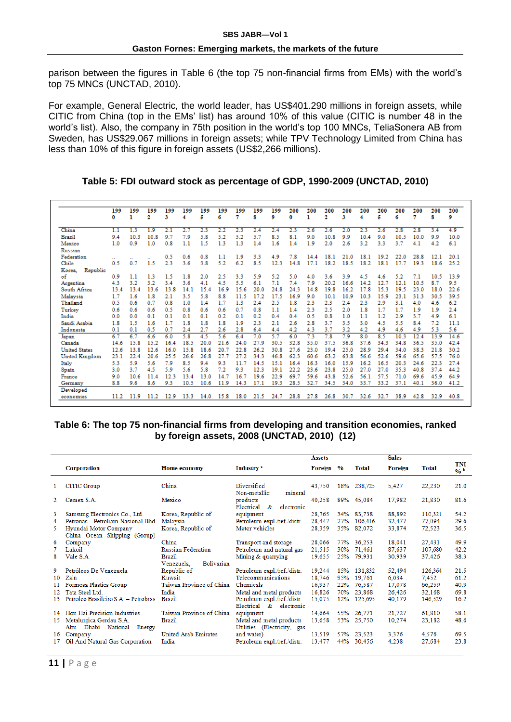parison between the figures in Table 6 (the top 75 non-financial firms from EMs) with the world's top 75 MNCs (UNCTAD, 2010).

For example, General Electric, the world leader, has US\$401.290 millions in foreign assets, while CITIC from China (top in the EMs' list) has around 10% of this value (CITIC is number 48 in the world's list). Also, the company in 75th position in the world's top 100 MNCs, TeliaSonera AB from Sweden, has US\$29.067 millions in foreign assets; while TPV Technology Limited from China has less than 10% of this figure in foreign assets (US\$2,266 millions).

#### **Table 5: FDI outward stock as percentage of GDP, 1990-2009 (UNCTAD, 2010)**

|                      | 199<br>0 | 199<br>ı | 199<br>2 | 199<br>3 | 199<br>4 | 199<br>Б | 199<br>6 | 199<br>7 | 199<br>8 | 199<br>9 | 200<br>0 | 200<br>ı | 200<br>2 | 200<br>3 | 200<br>4 | 200<br>Б | 200<br>6 | 200<br>7 | 200<br>8 | 200<br>9 |
|----------------------|----------|----------|----------|----------|----------|----------|----------|----------|----------|----------|----------|----------|----------|----------|----------|----------|----------|----------|----------|----------|
| China                | 1.1      | 1.3      | 1.9      | 2.1      | 2.7      | 2.3      | 2.2      | 2.3      | 2.4      | 2.4      | 2.3      | 2.6      | 2.6      | 2.0      | 2.3      | 2.6      | 2.8      | 2.8      | 3.4      | 4.9      |
| Brazil               | 9.4      | 10.3     | 10.8     | 9.7      | 7.9      | 5.8      | 5.2      | 5.2      | 5.7      | 8.5      | 8.1      | 9.0      | 10.8     | 9.9      | 10.4     | 9.0      | 10.5     | 10.0     | 9.9      | 10.0     |
| Mexico               | 1.0      | 0.9      | 1.0      | 0.8      | 1.1      | 1.5      | 1.3      | 1.3      | 1.4      | 1.6      | 1.4      | 1.9      | 2.0      | 2.6      | 3.2      | 3.3      | 3.7      | 4.1      | 4.2      | 6.1      |
| Russian              |          |          |          |          |          |          |          |          |          |          |          |          |          |          |          |          |          |          |          |          |
| Federation           |          |          |          | 0.5      | 0.6      | 0.8      | 1.1      | 1.9      | 3.3      | 4.9      | 7.8      | 14.4     | 18.1     | 21.0     | 18.1     | 19.2     | 22.0     | 28.8     | 12.1     | 20.1     |
| Chile                | 0.5      | 0.7      | 1.5      | 2.3      | 3.6      | 3.8      | 5.2      | 6.2      | 8.5      | 12.3     | 14.8     | 17.1     | 18.2     | 18.5     | 18.2     | 18.1     | 17.7     | 19.3     | 18.6     | 25.2     |
| Republic<br>Korea.   |          |          |          |          |          |          |          |          |          |          |          |          |          |          |          |          |          |          |          |          |
| of                   | 0.9      | 1.1      | 1.3      | 1.5      | 1.8      | 2.0      | 2.5      | 3.3      | 5.9      | 5.2      | 5.0      | 4.0      | 3.6      | 3.9      | 4.5      | 4.6      | 5.2      | 7.1      | 10.5     | 13.9     |
| Argentina            | 4.3      | 3.2      | 3.2      | 3.4      | 3.6      | 4.1      | 4.5      | 5.5      | 6.1      | 7.1      | 7.4      | 7.9      | 20.2     | 16.6     | 14.2     | 12.7     | 12.1     | 10.5     | 8.7      | 9.5      |
| South Africa         | 13.4     | 13.4     | 13.6     | 13.8     | 14.1     | 15.4     | 16.9     | 15.6     | 20.0     | 24.8     | 24.3     | 14.8     | 19.8     | 16.2     | 17.8     | 15.3     | 19.5     | 23.0     | 18.0     | 22.6     |
| Malaysia             | 1.7      | 1.6      | 1.8      | 2.1      | 3.5      | 5.8      | 8.8      | 11.5     | 17.2     | 17.5     | 16.9     | 9.0      | 10.1     | 10.9     | 10.3     | 15.9     | 23.1     | 31.3     | 30.5     | 39.5     |
| Thailand             | 0.5      | 0.6      | 0.7      | 0.8      | 1.0      | 1.4      | 1.7      | 1.3      | 2.4      | 2.5      | 1.8      | 2.3      | 2.3      | 2.4      | 2.3      | 2.9      | 3.1      | 4.0      | 4.6      | 6.2      |
| Turkey               | 0.6      | 0.6      | 0.6      | 0.5      | 0.8      | 0.6      | 0.6      | 0.7      | 0.8      | 1.1      | 1.4      | 2.3      | 2.5      | 2.0      | 1.8      | 1.7      | 1.7      | 1.9      | 1.9      | 2.4      |
| India                | 0.0      | 0.0      | 0.1      | 0.1      | 0.1      | 0.1      | 0.2      | 0.1      | 0.2      | 0.4      | 0.4      | 0.5      | 0.8      | 1.0      | 1.1      | 1.2      | 2.9      | 3.7      | 4.9      | 6.1      |
| Saudi Arabia         | 1.8      | 1.5      | 1.6      | 1.7      | 1.8      | 1.8      | 1.8      | 1.9      | 2.3      | 2.1      | 2.6      | 2.8      | 3.7      | 3.5      | 3.0      | 4.5      | 5.5      | 8.4      | 7.2      | 11.1     |
| Indonesia            | 0.1      | 0.1      | 0.5      | 0.7      | 2.4      | 2.7      | 2.6      | 2.8      | 6.4      | 4.4      | 4.2      | 4.3      | 3.7      | 3.2      | 4.2      | 4.9      | 4.6      | 4.9      | 5.3      | 5.6      |
| Japan                | 6.7      | 6.7      | 6.6      | 6.0      | 5.8      | 4.5      | 5.6      | 6.4      | 7.0      | 5.7      | 6.0      | 7.3      | 7.8      | 7.9      | 8.0      | 8.5      | 10.3     | 12.4     | 13.9     | 14.6     |
| Canada               | 14.6     | 15.8     | 15.2     | 16.4     | 18.5     | 20.0     | 21.6     | 24.0     | 27.9     | 30.5     | 32.8     | 35.0     | 37.5     | 36.8     | 37.6     | 34.3     | 34.8     | 36.5     | 35.0     | 42.4     |
| <b>United States</b> | 12.6     | 13.8     | 12.6     | 16.0     | 15.8     | 18.6     | 20.7     | 22.8     | 26.2     | 30.8     | 27.6     | 23.0     | 19.4     | 25.0     | 28.9     | 29.4     | 34.0     | 38.3     | 21.8     | 30.2     |
| United Kingdom       | 23.1     | 22.4     | 206      | 25.5     | 26.6     | 26.8     | 27.7     | 27.2     | 34.3     | 46.8     | 62.3     | 60.6     | 63.2     | 63.8     | 56.6     | 52.6     | 59.6     | 65.6     | 57.5     | 76.0     |
| Italy                | 5.3      | 5.9      | 5.6      | 7.9      | 8.5      | 9.4      | 9.3      | 11.7     | 14.5     | 15.1     | 16.4     | 16.3     | 16.0     | 15.9     | 16.2     | 16.5     | 20.3     | 24.6     | 22.3     | 27.4     |
| Spain                | 3.0      | 3.7      | 4.5      | 5.9      | 5.6      | 5.8      | 7.2      | 9.3      | 12.3     | 19.1     | 22.2     | 23.6     | 23.8     | 25.0     | 27.0     | 27.0     | 35.3     | 40.8     | 37.4     | 44.2     |
| France               | 9.0      | 10.6     | 11.4     | 12.3     | 13.4     | 13.0     | 14.7     | 16.7     | 19.6     | 22.9     | 69.7     | 59.6     | 43.8     | 52.6     | 56.1     | 57.5     | 71.0     | 69.6     | 45.9     | 64.9     |
| Germany              | 8.8      | 9.6      | 8.6      | 9.3      | 10.5     | 10.6     | 11.9     | 14.3     | 17.1     | 19.3     | 28.5     | 32.7     | 34.5     | 34.0     | 33.7     | 33.2     | 37.1     | 40.1     | 36.0     | 41.2     |
| Developed            |          |          |          |          |          |          |          |          |          |          |          |          |          |          |          |          |          |          |          |          |
| economies            | 11.2     | 11.9     | 11.2     | 12.9     | 13.3     | 14.0     | 15.8     | 18.0     | 21.5     | 24.7     | 28.8     | 27.8     | 26.8     | 30.7     | 32.6     | 32.7     | 38.9     | 42.8     | 32.9     | 40.8     |

#### **Table 6: The top 75 non-financial firms from developing and transition economies, ranked by foreign assets, 2008 (UNCTAD, 2010) (12)**

|                                        |                                                                                                                                    |                                                                                   |                                                                                                                                                      | <b>Assets</b>                                  |                          |                                                      | <b>Sales</b>                                  |                                                 |                                      |
|----------------------------------------|------------------------------------------------------------------------------------------------------------------------------------|-----------------------------------------------------------------------------------|------------------------------------------------------------------------------------------------------------------------------------------------------|------------------------------------------------|--------------------------|------------------------------------------------------|-----------------------------------------------|-------------------------------------------------|--------------------------------------|
|                                        | Corporation                                                                                                                        | Home economy                                                                      | Industry <sup>c</sup>                                                                                                                                | Foreign %                                      |                          | <b>Total</b>                                         | <b>Foreign</b>                                | <b>Total</b>                                    | TNI<br>$0/6$ b                       |
|                                        | <b>CITIC Group</b>                                                                                                                 | China                                                                             | Diversified<br>mineral<br>Non-metallic                                                                                                               | 43,750                                         |                          | 18% 238,725                                          | 5,427                                         | 22,230                                          | 21.0                                 |
|                                        | Cemex S.A.                                                                                                                         | Mexico                                                                            | products<br>$Electrical \&$<br>electronic                                                                                                            | 40,258                                         |                          | 89% 45,084                                           | 17,982                                        | 21,830                                          | 81.6                                 |
| 3<br>4<br>5                            | Samsung Electronics Co., Ltd.<br>Petronas – Petroliam Nasional Bhd<br>Hyundai Motor Company<br>China Ocean Shipping (Group)        | Korea, Republic of<br>Malaysia<br>Korea, Republic of                              | equipment<br>Petroleum expl./ref./distr.<br>Motor vehicles                                                                                           | 28,765<br>28,447<br>28,359                     | 27%                      | 34% 83,738<br>106,416<br>35% 82,072                  | 88,892<br>32,477<br>33,874                    | 110,321<br>77.094<br>72.523                     | 54.2<br>29.6<br>36.5                 |
| 6<br>8                                 | Company<br>Lukoil<br>Vale S.A                                                                                                      | China<br><b>Russian Federation</b><br><b>Brazil</b><br>Bolivarian<br>Venezuela.   | Transport and storage<br>Petroleum and natural gas<br>Mining & quarrying                                                                             | 28,066<br>21,515<br>19,635                     | 30%<br>25%               | 77% 36.253<br>71,461<br>79,931                       | 18,041<br>87,637<br>30,939                    | 27.431<br>107,680<br>37.426                     | 49.9<br>42.2<br>38.3                 |
| 9<br>10<br>11<br>12 <sub>1</sub><br>13 | Petróleos De Venezuela<br>Zain<br>Formosa Plastics Group<br>Tata Steel Ltd.<br>Petroleo Brasileiro S.A. – Petrobras                | Republic of<br>Kuwait<br>Taiwan Province of China<br>India<br>Brazil              | Petroleum expl./ref./distr.<br>Telecommunications<br>Chemicals<br>Metal and metal products<br>Petroleum expl./ref./distr.<br>Electrical & electronic | 19,244<br>18.746<br>16.937<br>16.826<br>15,075 | 95%<br>22%<br>70%<br>12% | 15% 131.832<br>19,761<br>76.587<br>23,868<br>125,695 | 52,494<br>6.034<br>17,078<br>26,426<br>40,179 | 126,364<br>7.452<br>66,259<br>32.168<br>146.529 | 21.5<br>61.2<br>40.9<br>69.8<br>16.2 |
| 14<br>15<br>16<br>17                   | Hon Hai Precision Industries<br>Metalurgica Gerdau S.A.<br>Abu Dhabi National Energy<br>Company<br>Oil And Natural Gas Corporation | Taiwan Province of China<br><b>Brazil</b><br><b>United Arab Emirates</b><br>India | equipment<br>Metal and metal products<br>Utilities (Electricity, gas<br>and water)<br>Petroleum expl./ref./distr.                                    | 14.664<br>13.658<br>13.519<br>13,477           | 44%                      | 55% 26,771<br>53% 25,750<br>57% 23.523<br>30,456     | 21,727<br>10.274<br>3.376<br>4.238            | 61.810<br>23.182<br>4.576<br>27,684             | 58.1<br>48.6<br>69.5<br>23.8         |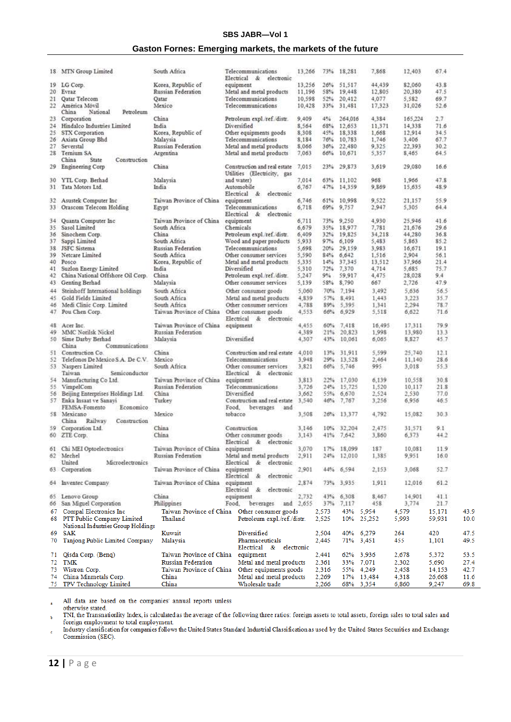#### **SBS JABR—Vol 1**

### **Gaston Fornes: Emerging markets, the markets of the future**

|                 | 18 MTN Group Limited                            | South Africa              | Telecommunications<br>Electrical & electronic               | 13,266 | 73%   | 18,281     | 7,868     | 12,403  | 67.4   |      |
|-----------------|-------------------------------------------------|---------------------------|-------------------------------------------------------------|--------|-------|------------|-----------|---------|--------|------|
| 19              | LG Corp.                                        | Korea, Republic of        | equipment                                                   | 13,256 | 26%   | 51,517     | 44,439    | 82,060  | 43.8   |      |
| 20 <sub>2</sub> | Evraz                                           | <b>Russian Federation</b> | Metal and metal products                                    | 11,196 | 58%   | 19,448     | 12,805    | 20,380  | 47.5   |      |
| 21.             | Qatar Telecom                                   | Oatar                     | Telecommunications                                          | 10,598 | 52%   | 20,412     | 4,077     | 5,582   | 69.7   |      |
| 22              | América Móvil<br>China<br>National<br>Petroleum | Mexico                    | Telecommunications                                          | 10,428 | 33%   | 31,481     | 17,323    | 31,026  | 52.6   |      |
| 23.             | Corporation                                     | China                     | Petroleum expl./ref./distr.                                 | 9,409  | 4%    | 264,016    | 4,384     | 165,224 | 2.7    |      |
| $^{24}$         | Hindalco Industries Limited                     | India                     | Diversified                                                 | 8,564  | 68%   | 12,653     | 11,371    | 14.338  | 71.6   |      |
|                 |                                                 |                           |                                                             |        |       |            |           |         |        |      |
| 25.             | STX Corporation                                 | Korea, Republic of        | Other equipments goods                                      | 8,308  | 45%   | 18,338     | 1,668     | 12,914  | 34.5   |      |
| 26 <sub>1</sub> | Axiata Group Bhd                                | Malaysia                  | Telecommunications                                          | 8,184  | 76%   | 10,783     | 1,746     | 3,406   | 67.7   |      |
| 27              | Severstal                                       | <b>Russian Federation</b> | Metal and metal products                                    | 8,066  | 36%   | 22,480     | 9.325     | 22,393  | 30.2   |      |
| 28 <sup>°</sup> | Ternium SA                                      | Argentina                 | Metal and metal products                                    | 7,063  | 66%   | 10,671     | 5,357     | 8,465   | 64.5   |      |
|                 | China<br>State<br>Construction                  |                           |                                                             |        |       |            |           |         |        |      |
| 29              | Engineering Corp                                | China                     | Construction and real estate<br>Utilities (Electricity, gas | 7,015  | 23%   | 29,873     | 3,619     | 29,080  | 16.6   |      |
| 30              | YTL Corp. Berhad                                | Malaysia                  | and water)                                                  | 7,014  | 63%   | 11,102     | 968       | 1,966   | 47.8   |      |
| 31.             | Tata Motors Ltd.                                | India                     | Automobile                                                  | 6,767  | 47%   | 14,359     | 9,869     | 15,635  | 48.9   |      |
|                 |                                                 |                           | Electrical & electronic                                     |        |       |            |           |         |        |      |
| 32              | Asustek Computer Inc                            | Taiwan Province of China  | equipment                                                   | 6,746  | 61%   | 10,998     | 9,522     | 21,157  | 55.9   |      |
|                 |                                                 |                           |                                                             |        |       |            |           |         |        |      |
| 33              | Orascom Telecom Holding                         | Egypt                     | Telecommunications<br>Electrical & electronic               | 6,718  | 69%   | 9,757      | 2,947     | 5,305   | 64.4   |      |
| 34              | Quanta Computer Inc.                            | Taiwan Province of China  | equipment                                                   | 6,711  | 73%   | 9,250      | 4,930     | 25.946  | 41.6   |      |
| 35.             | Sasol Limited                                   | South Africa              | Chemicals                                                   | 6,679  | 35%   | 18,977     | 7,781     | 21,676  | 29.6   |      |
| 36              | Sinochem Corp.                                  | China                     | Petroleum expl./ref./distr.                                 | 6,409  | 32%   | 19,825     | 34,218    | 44,280  | 36.8   |      |
| 37              |                                                 | South Africa              |                                                             | 5,933  | 97%   | 6,109      | 5,483     | 5,863   | 85.2   |      |
|                 | Sappi Limited                                   |                           | Wood and paper products                                     |        |       |            |           |         |        |      |
| 38              | <b>JSFC</b> Sistema                             | Russian Federation        | Telecommunications                                          | 5,698  | 20%   | 29,159     | 3,983     | 16,671  | 19.1   |      |
| 39              | Netcare Limited                                 | South Africa              | Other consumer services                                     | 5,590  | 84%   | 6,642      | 1,516     | 2,904   | 56.1   |      |
| 40              | Posco                                           | Korea, Republic of        | Metal and metal products                                    | 5.335  | 14%   | 37,345     | 13,512    | 37,966  | 21.4   |      |
| 41              | Suzlon Energy Limited                           | India                     | Diversified                                                 | 5,310  | 72%   | 7,370      | 4,714     | 5,685   | 75.7   |      |
| 42              | China National Offshore Oil Corp.               | China                     | Petroleum expl./ref./distr.                                 | 5,247  | 9%    | 59,917     | 4,475     | 28,028  | 9.4    |      |
| 43              | Genting Berhad                                  | Malaysia                  | Other consumer services                                     | 5,139  | 58%   | 8,790      | 667       | 2,726   | 47.9   |      |
|                 | Steinhoff International holdings                |                           |                                                             |        |       |            |           |         |        |      |
| 44              |                                                 | South Africa              | Other consumer goods                                        | 5,060  | 70%   | 7.194      | 3,492     | 5.636   | 56.5   |      |
| 45              | Gold Fields Limited                             | South Africa              | Metal and metal products                                    | 4,839  | 57%   | 8,491      | 1,443     | 3,223   | 35.7   |      |
| 46              | Medi Clinic Corp. Limited                       | South Africa              | Other consumer services                                     | 4,788  | 89%   | 5,395      | 1.341     | 2,294   | 78.7   |      |
| 47.             | Pou Chen Corp.                                  | Taiwan Province of China  | Other consumer goods                                        | 4,553  | 66%   | 6,929      | 5,518     | 6,622   | 71.6   |      |
|                 |                                                 |                           | Electrical & electronic                                     |        |       |            |           |         |        |      |
| 48              | Acer Inc.                                       | Taiwan Province of China  | equipment                                                   | 4,455  | 60%   | 7,418      | 16,495    | 17.311  | 79.9   |      |
| 49              | MMC Norilsk Nickel                              | Russian Federation        |                                                             | 4,389  | 21%   | 20,823     | 1,998     | 13,980  | 13.3   |      |
| 50              | Sime Darby Berhad                               | Malaysia                  | Diversified                                                 | 4,307  | 43%   | 10,061     | 6,065     | 8,827   | 45.7   |      |
|                 | China<br>Communications                         |                           |                                                             |        |       |            |           |         |        |      |
|                 |                                                 |                           |                                                             |        |       |            |           |         |        |      |
| 51.             | Construction Co.                                | China                     | Construction and real estate 4,010                          |        | 13%   | 31,911     | 5,599     | 25,740  | 12.1   |      |
| 52.             | Telefonos De Mexico S.A. De C.V.                | Mexico                    | Telecommunications                                          | 3,948  | 29%   | 13,528     | 2,464     | 11,140  | 28.6   |      |
|                 | 53 Naspers Limited                              | South Africa              | Other consumer services                                     | 3,821  | 66%   | 5,746      | 995       | 3,018   | 55.3   |      |
|                 | Taiwan<br>Semiconductor                         |                           | Electrical & electronic                                     |        |       |            |           |         |        |      |
| 54              | Manufacturing Co Ltd.                           | Taiwan Province of China  | equipment                                                   | 3,813  | 22%   | 17,030     | 6,139     | 10,558  | 30.8   |      |
| 55.             | VimpelCom                                       | Russian Federation        | Telecommunications                                          | 3,726  | 24%   | 15,725     | 1,520     | 10,117  | 21.8   |      |
| 56              | Beijing Enterprises Holdings Ltd.               | China                     | Diversified                                                 | 3,662  | 55%   | 6,670      | 2,524     | 2,530   | 77.0   |      |
|                 | 57 Enka Insaat ve Sanavi                        | Turkey                    | Construction and real estate                                | 3,540  | 46%   | 7,767      | 3,256     | 6,956   | 46.5   |      |
|                 | FEMSA-Fomento<br>Economico                      |                           | Food.<br>beverages<br>and                                   |        |       |            |           |         |        |      |
|                 | 58 Mexicano                                     | Mexico                    | tobacco                                                     |        |       |            |           |         |        |      |
|                 |                                                 |                           |                                                             | 3,508  |       | 26% 13,377 | 4,792     | 15,082  | 30.3   |      |
|                 | China<br>Railway<br>Construction                |                           |                                                             |        |       |            |           |         |        |      |
|                 | 59 Corporation Ltd.                             | China                     | Construction                                                | 3,146  | 10%   | 32,204     | 2,475     | 31,571  | 9.1    |      |
|                 | 60 ZTE Corp.                                    | China                     | Other consumer goods                                        | 3,143  |       | 41% 7.642  | 3,860     | 6,373   | 44.2   |      |
|                 |                                                 |                           | Electrical & electronic                                     |        |       |            |           |         |        |      |
|                 | 61 Chi MEI Optoelectronics                      | Taiwan Province of China  | equipment                                                   | 3,070  |       | 17% 18,099 | 187       | 10,081  | 11.9   |      |
|                 | 62 Mechel                                       | Russian Federation        | Metal and metal products                                    | 2,911  |       | 24% 12,010 | 1,385     | 9,951   | 16.0   |      |
|                 | United<br>Microelectronics                      |                           | Electrical & electronic                                     |        |       |            |           |         |        |      |
|                 | 63 Corporation                                  | Taiwan Province of China  | equipment                                                   | 2,901  | 44%   | 6,594      | 2,153     | 3,068   | 52.7   |      |
|                 |                                                 |                           | Electrical & electronic                                     |        |       |            |           |         |        |      |
|                 | 64 Inventec Company                             | Taiwan Province of China  | equipment                                                   | 2,874  |       | 73% 3,935  | 1,911     | 12,016  | 61.2   |      |
|                 |                                                 |                           | Electrical & electronic                                     |        |       |            |           |         |        |      |
| 65              | Lenovo Group                                    | China                     | equipment                                                   | 2,732  | 43%   | 6,308      | 8,467     | 14,901  | 41.1   |      |
|                 | 66 San Miguel Corporation                       | <b>Philippines</b>        | Food,<br>beverages and 2,655                                |        | 37%   | 7,117      | 458       | 3,774   | 21.7   |      |
| 67              | Compal Electronics Inc                          |                           | Taiwan Province of China Other consumer goods               |        | 2,573 | 43%        | 5,954     | 4,579   | 15,171 | 43.9 |
|                 |                                                 | Thailand                  |                                                             |        |       |            |           |         |        |      |
|                 | 68 PTT Public Company Limited                   |                           | Petroleum expl./ref./distr.                                 |        | 2,525 | 10%        | 25,252    | 5,993   | 59,931 | 10.0 |
|                 | National Industries Group Holdings              |                           |                                                             |        |       |            |           |         |        |      |
| 69.             | <b>SAK</b>                                      | Kuwait                    | Diversified                                                 |        | 2,504 | 40%        | 6,279     | 264     | 420    | 47.5 |
| 70              | Tanjong Public Limited Company                  | Malaysia                  | Pharmaceuticals                                             |        | 2,445 | 71%        | 3,451     | 455     | 1,101  | 49.5 |
|                 |                                                 |                           | Electrical & electronic                                     |        |       |            |           |         |        |      |
|                 |                                                 | Taiwan Province of China  |                                                             |        |       |            |           |         |        |      |
| 71              | Qisda Corp. (Benq)                              |                           | equipment                                                   |        | 2,441 | 62%        | 3,936     | 2,678   | 5,372  | 53.5 |
| 72              | TMK                                             | <b>Russian Federation</b> | Metal and metal products                                    |        | 2,361 | 33%        | 7,071     | 2,302   | 5,690  | 27.4 |
| 73              | Wistron Corp.                                   | Taiwan Province of China  | Other equipments goods                                      |        | 2,316 | 55%        | 4,249     | 2,458   | 14,153 | 42.7 |
| 74              | China Minmetals Corp.                           | China                     | Metal and metal products                                    |        | 2,269 | 17%        | 13,484    | 4,318   | 26,668 | 11.6 |
| 75              | TPV Technology Limited                          | China                     | Wholesale trade                                             |        | 2,266 |            | 68% 3,354 | 6,860   | 9,247  | 69.8 |

All data are based on the companies' annual reports unless  $\overline{a}$ 

The use are used on the companies annual reports unress<br>TNI, the Transnationlity Index, is calculated as the average of the following three ratios: foreign assets to total assets, foreign sales to total sales and<br>TNI, the  $\mathbf{h}$ 

 $\mathsf{c}$ Commission (SEC).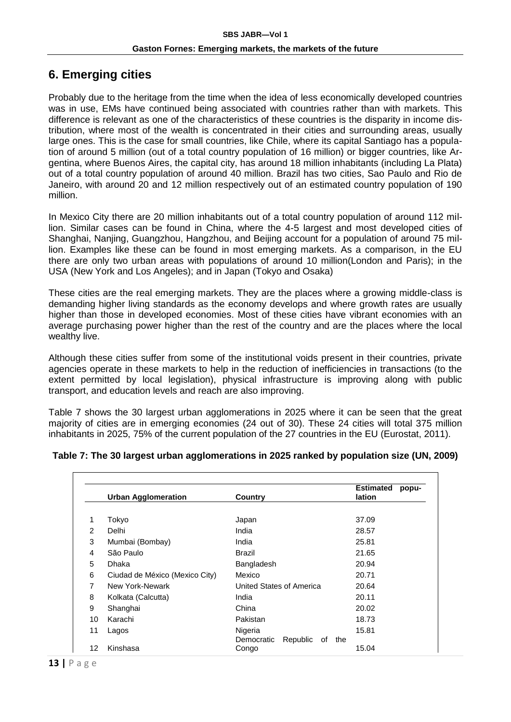## **6. Emerging cities**

Probably due to the heritage from the time when the idea of less economically developed countries was in use, EMs have continued being associated with countries rather than with markets. This difference is relevant as one of the characteristics of these countries is the disparity in income distribution, where most of the wealth is concentrated in their cities and surrounding areas, usually large ones. This is the case for small countries, like Chile, where its capital Santiago has a population of around 5 million (out of a total country population of 16 million) or bigger countries, like Argentina, where Buenos Aires, the capital city, has around 18 million inhabitants (including La Plata) out of a total country population of around 40 million. Brazil has two cities, Sao Paulo and Rio de Janeiro, with around 20 and 12 million respectively out of an estimated country population of 190 million.

In Mexico City there are 20 million inhabitants out of a total country population of around 112 million. Similar cases can be found in China, where the 4-5 largest and most developed cities of Shanghai, Nanjing, Guangzhou, Hangzhou, and Beijing account for a population of around 75 million. Examples like these can be found in most emerging markets. As a comparison, in the EU there are only two urban areas with populations of around 10 million(London and Paris); in the USA (New York and Los Angeles); and in Japan (Tokyo and Osaka)

These cities are the real emerging markets. They are the places where a growing middle-class is demanding higher living standards as the economy develops and where growth rates are usually higher than those in developed economies. Most of these cities have vibrant economies with an average purchasing power higher than the rest of the country and are the places where the local wealthy live.

Although these cities suffer from some of the institutional voids present in their countries, private agencies operate in these markets to help in the reduction of inefficiencies in transactions (to the extent permitted by local legislation), physical infrastructure is improving along with public transport, and education levels and reach are also improving.

Table 7 shows the 30 largest urban agglomerations in 2025 where it can be seen that the great majority of cities are in emerging economies (24 out of 30). These 24 cities will total 375 million inhabitants in 2025, 75% of the current population of the 27 countries in the EU (Eurostat, 2011).

|  | Table 7: The 30 largest urban agglomerations in 2025 ranked by population size (UN, 2009) |  |  |  |  |  |
|--|-------------------------------------------------------------------------------------------|--|--|--|--|--|
|  |                                                                                           |  |  |  |  |  |

|                | <b>Urban Agglomeration</b>     | Country                                        | <b>Estimated</b><br>popu-<br>lation |
|----------------|--------------------------------|------------------------------------------------|-------------------------------------|
| 1              | Tokyo                          | Japan                                          | 37.09                               |
| $\mathcal{P}$  | Delhi                          | India                                          | 28.57                               |
| 3              | Mumbai (Bombay)                | India                                          | 25.81                               |
| 4              | São Paulo                      | Brazil                                         | 21.65                               |
| 5              | Dhaka                          | Bangladesh                                     | 20.94                               |
| 6              | Ciudad de México (Mexico City) | Mexico                                         | 20.71                               |
| $\overline{7}$ | New York-Newark                | United States of America                       | 20.64                               |
| 8              | Kolkata (Calcutta)             | India                                          | 20.11                               |
| 9              | Shanghai                       | China                                          | 20.02                               |
| 10             | Karachi                        | Pakistan                                       | 18.73                               |
| 11             | Lagos                          | Nigeria<br>Democratic<br>Republic<br>of<br>the | 15.81                               |
| 12             | Kinshasa                       | Congo                                          | 15.04                               |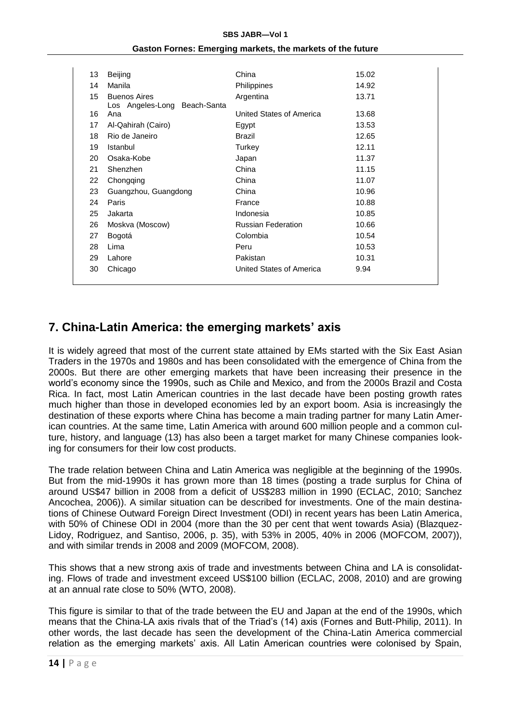#### **SBS JABR—Vol 1**

| 13 | <b>Beijing</b>                                      | China                     | 15.02 |
|----|-----------------------------------------------------|---------------------------|-------|
| 14 | Manila                                              | Philippines               | 14.92 |
| 15 | <b>Buenos Aires</b><br>Los Angeles-Long Beach-Santa | Argentina                 | 13.71 |
| 16 | Ana                                                 | United States of America  | 13.68 |
| 17 | Al-Qahirah (Cairo)                                  | Egypt                     | 13.53 |
| 18 | Rio de Janeiro                                      | <b>Brazil</b>             | 12.65 |
| 19 | Istanbul                                            | Turkey                    | 12.11 |
| 20 | Osaka-Kobe                                          | Japan                     | 11.37 |
| 21 | Shenzhen                                            | China                     | 11.15 |
| 22 | Chongqing                                           | China                     | 11.07 |
| 23 | Guangzhou, Guangdong                                | China                     | 10.96 |
| 24 | Paris                                               | France                    | 10.88 |
| 25 | Jakarta                                             | Indonesia                 | 10.85 |
| 26 | Moskva (Moscow)                                     | <b>Russian Federation</b> | 10.66 |
| 27 | Bogotá                                              | Colombia                  | 10.54 |
| 28 | Lima                                                | Peru                      | 10.53 |
| 29 | Lahore                                              | Pakistan                  | 10.31 |
| 30 | Chicago                                             | United States of America  | 9.94  |
|    |                                                     |                           |       |

#### **Gaston Fornes: Emerging markets, the markets of the future**

### **7. China-Latin America: the emerging markets' axis**

It is widely agreed that most of the current state attained by EMs started with the Six East Asian Traders in the 1970s and 1980s and has been consolidated with the emergence of China from the 2000s. But there are other emerging markets that have been increasing their presence in the world's economy since the 1990s, such as Chile and Mexico, and from the 2000s Brazil and Costa Rica. In fact, most Latin American countries in the last decade have been posting growth rates much higher than those in developed economies led by an export boom. Asia is increasingly the destination of these exports where China has become a main trading partner for many Latin American countries. At the same time, Latin America with around 600 million people and a common culture, history, and language (13) has also been a target market for many Chinese companies looking for consumers for their low cost products.

The trade relation between China and Latin America was negligible at the beginning of the 1990s. But from the mid-1990s it has grown more than 18 times (posting a trade surplus for China of around US\$47 billion in 2008 from a deficit of US\$283 million in 1990 (ECLAC, 2010; Sanchez Ancochea, 2006)). A similar situation can be described for investments. One of the main destinations of Chinese Outward Foreign Direct Investment (ODI) in recent years has been Latin America, with 50% of Chinese ODI in 2004 (more than the 30 per cent that went towards Asia) (Blazquez-Lidoy, Rodriguez, and Santiso, 2006, p. 35), with 53% in 2005, 40% in 2006 (MOFCOM, 2007)), and with similar trends in 2008 and 2009 (MOFCOM, 2008).

This shows that a new strong axis of trade and investments between China and LA is consolidating. Flows of trade and investment exceed US\$100 billion (ECLAC, 2008, 2010) and are growing at an annual rate close to 50% (WTO, 2008).

This figure is similar to that of the trade between the EU and Japan at the end of the 1990s, which means that the China-LA axis rivals that of the Triad's (14) axis (Fornes and Butt-Philip, 2011). In other words, the last decade has seen the development of the China-Latin America commercial relation as the emerging markets' axis. All Latin American countries were colonised by Spain,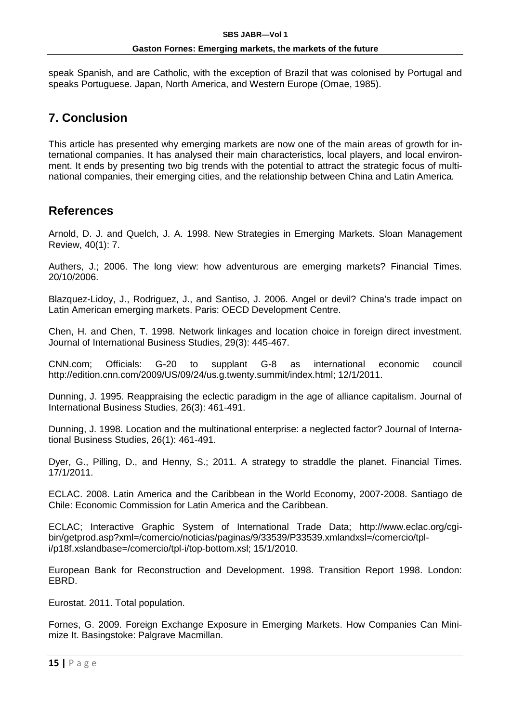speak Spanish, and are Catholic, with the exception of Brazil that was colonised by Portugal and speaks Portuguese. Japan, North America, and Western Europe (Omae, 1985).

### **7. Conclusion**

This article has presented why emerging markets are now one of the main areas of growth for international companies. It has analysed their main characteristics, local players, and local environment. It ends by presenting two big trends with the potential to attract the strategic focus of multinational companies, their emerging cities, and the relationship between China and Latin America.

### **References**

Arnold, D. J. and Quelch, J. A. 1998. New Strategies in Emerging Markets. Sloan Management Review, 40(1): 7.

Authers, J.; 2006. The long view: how adventurous are emerging markets? Financial Times. 20/10/2006.

Blazquez-Lidoy, J., Rodriguez, J., and Santiso, J. 2006. Angel or devil? China's trade impact on Latin American emerging markets. Paris: OECD Development Centre.

Chen, H. and Chen, T. 1998. Network linkages and location choice in foreign direct investment. Journal of International Business Studies, 29(3): 445-467.

CNN.com; Officials: G-20 to supplant G-8 as international economic council http://edition.cnn.com/2009/US/09/24/us.g.twenty.summit/index.html; 12/1/2011.

Dunning, J. 1995. Reappraising the eclectic paradigm in the age of alliance capitalism. Journal of International Business Studies, 26(3): 461-491.

Dunning, J. 1998. Location and the multinational enterprise: a neglected factor? Journal of International Business Studies, 26(1): 461-491.

Dyer, G., Pilling, D., and Henny, S.; 2011. A strategy to straddle the planet. Financial Times. 17/1/2011.

ECLAC. 2008. Latin America and the Caribbean in the World Economy, 2007-2008. Santiago de Chile: Economic Commission for Latin America and the Caribbean.

ECLAC; Interactive Graphic System of International Trade Data; http://www.eclac.org/cgibin/getprod.asp?xml=/comercio/noticias/paginas/9/33539/P33539.xmlandxsl=/comercio/tpli/p18f.xslandbase=/comercio/tpl-i/top-bottom.xsl; 15/1/2010.

European Bank for Reconstruction and Development. 1998. Transition Report 1998. London: EBRD.

Eurostat. 2011. Total population.

Fornes, G. 2009. Foreign Exchange Exposure in Emerging Markets. How Companies Can Minimize It. Basingstoke: Palgrave Macmillan.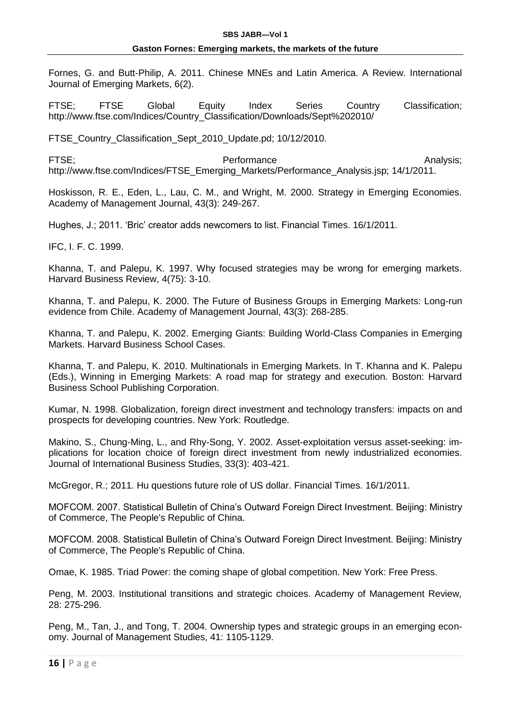Fornes, G. and Butt-Philip, A. 2011. Chinese MNEs and Latin America. A Review. International Journal of Emerging Markets, 6(2).

FTSE; FTSE Global Equity Index Series Country Classification; http://www.ftse.com/Indices/Country\_Classification/Downloads/Sept%202010/

FTSE\_Country\_Classification\_Sept\_2010\_Update.pd; 10/12/2010.

FTSE; example and the experiment of the Performance and the example of the Analysis; http://www.ftse.com/Indices/FTSE\_Emerging\_Markets/Performance\_Analysis.jsp; 14/1/2011.

Hoskisson, R. E., Eden, L., Lau, C. M., and Wright, M. 2000. Strategy in Emerging Economies. Academy of Management Journal, 43(3): 249-267.

Hughes, J.; 2011. 'Bric' creator adds newcomers to list. Financial Times. 16/1/2011.

IFC, I. F. C. 1999.

Khanna, T. and Palepu, K. 1997. Why focused strategies may be wrong for emerging markets. Harvard Business Review, 4(75): 3-10.

Khanna, T. and Palepu, K. 2000. The Future of Business Groups in Emerging Markets: Long-run evidence from Chile. Academy of Management Journal, 43(3): 268-285.

Khanna, T. and Palepu, K. 2002. Emerging Giants: Building World-Class Companies in Emerging Markets. Harvard Business School Cases.

Khanna, T. and Palepu, K. 2010. Multinationals in Emerging Markets. In T. Khanna and K. Palepu (Eds.), Winning in Emerging Markets: A road map for strategy and execution. Boston: Harvard Business School Publishing Corporation.

Kumar, N. 1998. Globalization, foreign direct investment and technology transfers: impacts on and prospects for developing countries. New York: Routledge.

Makino, S., Chung-Ming, L., and Rhy-Song, Y. 2002. Asset-exploitation versus asset-seeking: implications for location choice of foreign direct investment from newly industrialized economies. Journal of International Business Studies, 33(3): 403-421.

McGregor, R.; 2011. Hu questions future role of US dollar. Financial Times. 16/1/2011.

MOFCOM. 2007. Statistical Bulletin of China's Outward Foreign Direct Investment. Beijing: Ministry of Commerce, The People's Republic of China.

MOFCOM. 2008. Statistical Bulletin of China's Outward Foreign Direct Investment. Beijing: Ministry of Commerce, The People's Republic of China.

Omae, K. 1985. Triad Power: the coming shape of global competition. New York: Free Press.

Peng, M. 2003. Institutional transitions and strategic choices. Academy of Management Review, 28: 275-296.

Peng, M., Tan, J., and Tong, T. 2004. Ownership types and strategic groups in an emerging economy. Journal of Management Studies, 41: 1105-1129.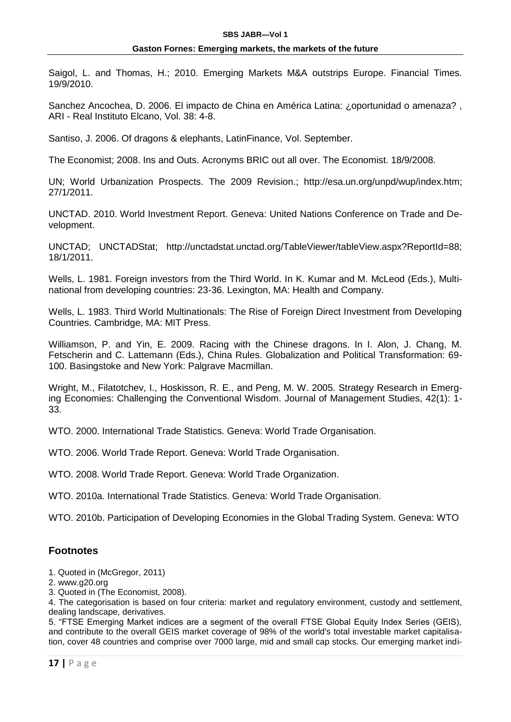Saigol, L. and Thomas, H.; 2010. Emerging Markets M&A outstrips Europe. Financial Times. 19/9/2010.

Sanchez Ancochea, D. 2006. El impacto de China en América Latina: ¿oportunidad o amenaza? , ARI - Real Instituto Elcano, Vol. 38: 4-8.

Santiso, J. 2006. Of dragons & elephants, LatinFinance, Vol. September.

The Economist; 2008. Ins and Outs. Acronyms BRIC out all over. The Economist. 18/9/2008.

UN; World Urbanization Prospects. The 2009 Revision.; http://esa.un.org/unpd/wup/index.htm; 27/1/2011.

UNCTAD. 2010. World Investment Report. Geneva: United Nations Conference on Trade and Development.

UNCTAD; UNCTADStat; http://unctadstat.unctad.org/TableViewer/tableView.aspx?ReportId=88; 18/1/2011.

Wells, L. 1981. Foreign investors from the Third World. In K. Kumar and M. McLeod (Eds.), Multinational from developing countries: 23-36. Lexington, MA: Health and Company.

Wells, L. 1983. Third World Multinationals: The Rise of Foreign Direct Investment from Developing Countries. Cambridge, MA: MIT Press.

Williamson, P. and Yin, E. 2009. Racing with the Chinese dragons. In I. Alon, J. Chang, M. Fetscherin and C. Lattemann (Eds.), China Rules. Globalization and Political Transformation: 69- 100. Basingstoke and New York: Palgrave Macmillan.

Wright, M., Filatotchev, I., Hoskisson, R. E., and Peng, M. W. 2005. Strategy Research in Emerging Economies: Challenging the Conventional Wisdom. Journal of Management Studies, 42(1): 1- 33.

WTO. 2000. International Trade Statistics. Geneva: World Trade Organisation.

WTO. 2006. World Trade Report. Geneva: World Trade Organisation.

WTO. 2008. World Trade Report. Geneva: World Trade Organization.

WTO. 2010a. International Trade Statistics. Geneva: World Trade Organisation.

WTO. 2010b. Participation of Developing Economies in the Global Trading System. Geneva: WTO

#### **Footnotes**

1. Quoted in (McGregor, 2011)

2. www.g20.org

3. Quoted in (The Economist, 2008).

5. "FTSE Emerging Market indices are a segment of the overall FTSE Global Equity Index Series (GEIS), and contribute to the overall GEIS market coverage of 98% of the world's total investable market capitalisation, cover 48 countries and comprise over 7000 large, mid and small cap stocks. Our emerging market indi-

<sup>4.</sup> The categorisation is based on four criteria: market and regulatory environment, custody and settlement, dealing landscape, derivatives.